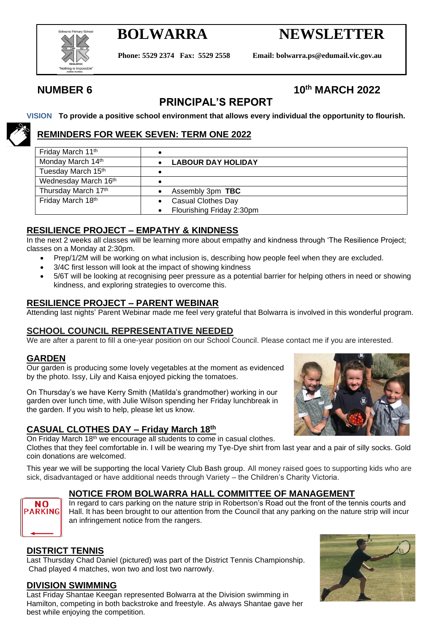

# **BOLWARRA NEWSLETTER**

**Phone: 5529 2374 Fax: 5529 2558 Email: bolwarra.ps@edumail.vic.gov.au**

## **NUMBER 6 10th MARCH 2022**

## **PRINCIPAL'S REPORT**

**VISION To provide a positive school environment that allows every individual the opportunity to flourish.**

### **REMINDERS FOR WEEK SEVEN: TERM ONE 2022**

| Friday March 11th    |                           |
|----------------------|---------------------------|
| Monday March 14th    | <b>LABOUR DAY HOLIDAY</b> |
| Tuesday March 15th   |                           |
| Wednesday March 16th |                           |
| Thursday March 17th  | Assembly 3pm TBC          |
| Friday March 18th    | <b>Casual Clothes Day</b> |
|                      | Flourishing Friday 2:30pm |

### **RESILIENCE PROJECT – EMPATHY & KINDNESS**

In the next 2 weeks all classes will be learning more about empathy and kindness through 'The Resilience Project; classes on a Monday at 2:30pm.

- Prep/1/2M will be working on what inclusion is, describing how people feel when they are excluded.
- 3/4C first lesson will look at the impact of showing kindness
- 5/6T will be looking at recognising peer pressure as a potential barrier for helping others in need or showing kindness, and exploring strategies to overcome this.

#### **RESILIENCE PROJECT – PARENT WEBINAR**

Attending last nights' Parent Webinar made me feel very grateful that Bolwarra is involved in this wonderful program.

#### **SCHOOL COUNCIL REPRESENTATIVE NEEDED**

We are after a parent to fill a one-year position on our School Council. Please contact me if you are interested.

#### **GARDEN**

Our garden is producing some lovely vegetables at the moment as evidenced by the photo. Issy, Lily and Kaisa enjoyed picking the tomatoes.

On Thursday's we have Kerry Smith (Matilda's grandmother) working in our garden over lunch time, with Julie Wilson spending her Friday lunchbreak in the garden. If you wish to help, please let us know.

### **CASUAL CLOTHES DAY – Friday March 18th**

On Friday March 18<sup>th</sup> we encourage all students to come in casual clothes.

Clothes that they feel comfortable in. I will be wearing my Tye-Dye shirt from last year and a pair of silly socks. Gold coin donations are welcomed.

This year we will be supporting the local Variety Club Bash group. All money raised goes to supporting kids who are sick, disadvantaged or have additional needs through Variety – the Children's Charity Victoria.

### **NOTICE FROM BOLWARRA HALL COMMITTEE OF MANAGEMENT**

In regard to cars parking on the nature strip in Robertson's Road out the front of the tennis courts and Hall. It has been brought to our attention from the Council that any parking on the nature strip will incur an infringement notice from the rangers.

#### **DISTRICT TENNIS**

**NO ARKING** 

Last Thursday Chad Daniel (pictured) was part of the District Tennis Championship. Chad played 4 matches, won two and lost two narrowly.

#### **DIVISION SWIMMING**

Last Friday Shantae Keegan represented Bolwarra at the Division swimming in Hamilton, competing in both backstroke and freestyle. As always Shantae gave her best while enjoying the competition.

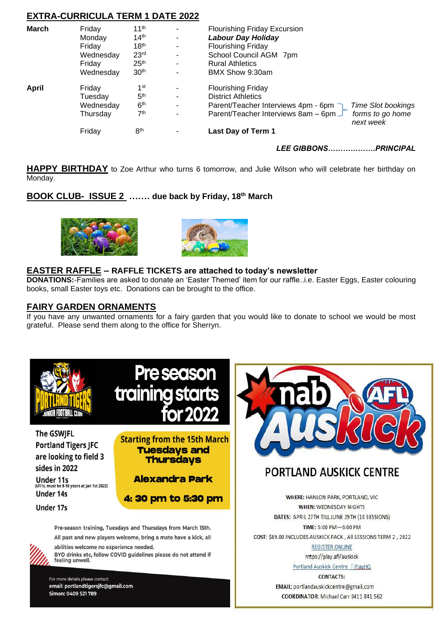| <b>EXTRA-CURRICULA TERM 1 DATE 2022</b> |           |                  |                |                                                                      |  |
|-----------------------------------------|-----------|------------------|----------------|----------------------------------------------------------------------|--|
| <b>March</b>                            | Friday    | 11 <sup>th</sup> |                | <b>Flourishing Friday Excursion</b>                                  |  |
|                                         | Monday    | 14 <sup>th</sup> | -              | <b>Labour Day Holiday</b>                                            |  |
|                                         | Friday    | 18 <sup>th</sup> | ۰              | <b>Flourishing Friday</b>                                            |  |
|                                         | Wednesday | 23 <sup>rd</sup> | ۰              | School Council AGM 7pm                                               |  |
|                                         | Friday    | 25 <sup>th</sup> | ۰              | <b>Rural Athletics</b>                                               |  |
|                                         | Wednesday | 30 <sup>th</sup> | $\blacksquare$ | BMX Show 9:30am                                                      |  |
| April                                   | Friday    | 1 <sup>st</sup>  |                | <b>Flourishing Friday</b>                                            |  |
|                                         | Tuesdav   | 5 <sup>th</sup>  | ۰              | <b>District Athletics</b>                                            |  |
|                                         | Wednesday | 6 <sup>th</sup>  | $\blacksquare$ | Parent/Teacher Interviews 4pm - 6pm<br><b>Time Slot bookings</b>     |  |
|                                         | Thursday  | 7 <sup>th</sup>  | ۰              | Parent/Teacher Interviews 8am - 6pm<br>forms to go home<br>next week |  |
|                                         | Friday    | 8 <sup>th</sup>  |                | Last Day of Term 1                                                   |  |
|                                         |           |                  |                |                                                                      |  |

*LEE GIBBONS……………….PRINCIPAL*

**HAPPY BIRTHDAY** to Zoe Arthur who turns 6 tomorrow, and Julie Wilson who will celebrate her birthday on Monday.

### **BOOK CLUB- ISSUE 2 ……. due back by Friday, 18th March**





#### **EASTER RAFFLE – RAFFLE TICKETS are attached to today's newsletter**

**DONATIONS:**-Families are asked to donate an 'Easter Themed' item for our raffle..i.e. Easter Eggs, Easter colouring books, small Easter toys etc. Donations can be brought to the office.

#### **FAIRY GARDEN ORNAMENTS**

If you have any unwanted ornaments for a fairy garden that you would like to donate to school we would be most grateful. Please send them along to the office for Sherryn.



**The GSWIFL Portland Tigers JFC** are looking to field 3 sides in 2022

Under 11s<br>(U11s, must be 8-10 years at Jan 1st 2022) **Under 14s** 

**Under 17s** 



**Starting from the 15th March Tuesdavs and Thursdays** 

**Alexandra Park** 

4: 30 pm to 5:30 pm

Pre-season training, Tuesdays and Thursdays from March 15th. All past and new players welcome, bring a mate have a kick, all



abilities welcome no experience needed. BYO drinks etc, follow COVID guidelines please do not attend if feeling unwell.

For more details please contact email: portlandtigersjfc@gmail.com Simon: 0409 521 789



## **PORTLAND AUSKICK CENTRE**

**WHERE: HANLON PARK, PORTLAND, VIC WHEN: WEDNESDAY NIGHTS** DATES: APRIL 27TH TILL JUNE 29TH (10 SESSIONS) TIME: 5:00 PM-6:00 PM COST: \$89.00 INCLUDES AUSKICK PACK, All SESSIONS TERM 2, 2022

> **REGISTER ONLINE** https://play.afl/auskick

Portland Auskick Centre | PlayHQ **CONTACTS:** 

EMAIL: portlandauskickcentre@gmail.com COORDINATOR: Michael Carr 0411 841 562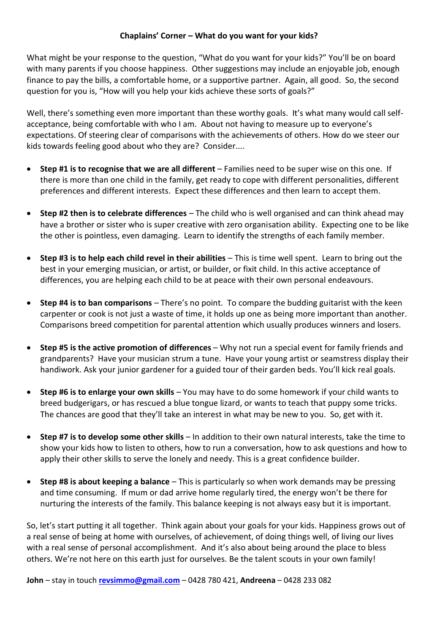#### **Chaplains' Corner – What do you want for your kids?**

What might be your response to the question, "What do you want for your kids?" You'll be on board with many parents if you choose happiness. Other suggestions may include an enjoyable job, enough finance to pay the bills, a comfortable home, or a supportive partner. Again, all good. So, the second question for you is, "How will you help your kids achieve these sorts of goals?"

Well, there's something even more important than these worthy goals. It's what many would call selfacceptance, being comfortable with who I am. About not having to measure up to everyone's expectations. Of steering clear of comparisons with the achievements of others. How do we steer our kids towards feeling good about who they are? Consider....

- • **Step #1 is to recognise that we are all different** – Families need to be super wise on this one. If there is more than one child in the family, get ready to cope with different personalities, different preferences and different interests. Expect these differences and then learn to accept them.
- • **Step #2 then is to celebrate differences** – The child who is well organised and can think ahead may have a brother or sister who is super creative with zero organisation ability. Expecting one to be like the other is pointless, even damaging. Learn to identify the strengths of each family member.
- •**Step #3 is to help each child revel in their abilities** – This is time well spent. Learn to bring out the best in your emerging musician, or artist, or builder, or fixit child. In this active acceptance of differences, you are helping each child to be at peace with their own personal endeavours.
- •**Step #4 is to ban comparisons** – There's no point. To compare the budding guitarist with the keen carpenter or cook is not just a waste of time, it holds up one as being more important than another. Comparisons breed competition for parental attention which usually produces winners and losers.
- $\bullet$  **Step #5 is the active promotion of differences** – Why not run a special event for family friends and grandparents? Have your musician strum a tune. Have your young artist or seamstress display their handiwork. Ask your junior gardener for a guided tour of their garden beds. You'll kick real goals.
- $\bullet$  **Step #6 is to enlarge your own skills** – You may have to do some homework if your child wants to breed budgerigars, or has rescued a blue tongue lizard, or wants to teach that puppy some tricks. The chances are good that they'll take an interest in what may be new to you. So, get with it.
- • **Step #7 is to develop some other skills** – In addition to their own natural interests, take the time to show your kids how to listen to others, how to run a conversation, how to ask questions and how to apply their other skills to serve the lonely and needy. This is a great confidence builder.
- $\bullet$  **Step #8 is about keeping a balance** – This is particularly so when work demands may be pressing and time consuming. If mum or dad arrive home regularly tired, the energy won't be there for nurturing the interests of the family. This balance keeping is not always easy but it is important.

So, let's start putting it all together. Think again about your goals for your kids. Happiness grows out of a real sense of being at home with ourselves, of achievement, of doing things well, of living our lives with a real sense of personal accomplishment. And it's also about being around the place to bless others. We're not here on this earth just for ourselves. Be the talent scouts in your own family!

**John** – stay in touch **revsimmo@gmail.com** – 0428 780 421, **Andreena** – 0428 233 082